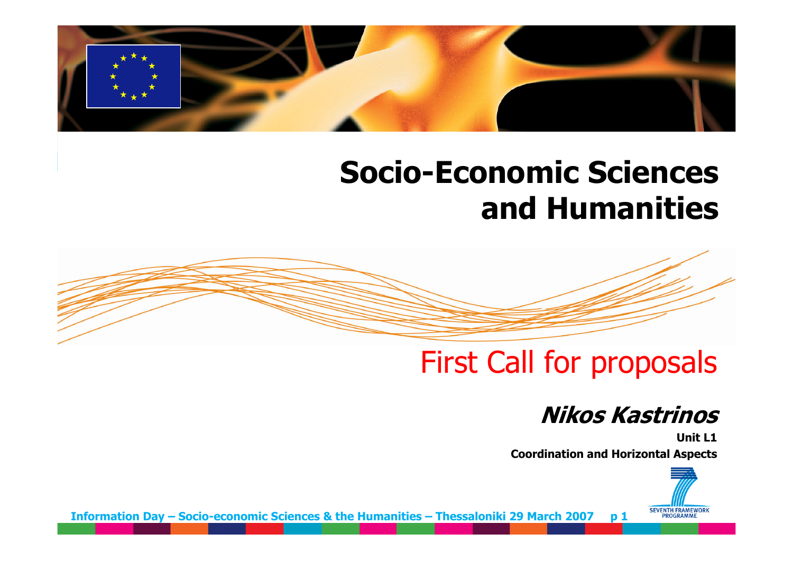

# **Socio-Economic Sciences and Humanities**

# First Call for proposals

## **Nikos Kastrinos**

**Unit L1Coordination and Horizontal Aspects**



**Information Day – Socio-economic Sciences & the Humanities – Thessaloniki 29 March 2007 p 1**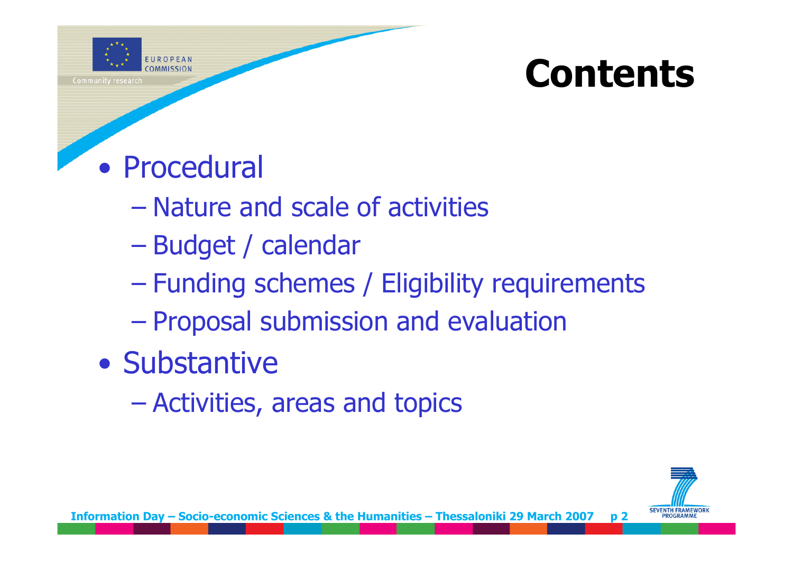

# **Contents**

# • Procedural

- –Nature and scale of activities
- –<br>– Charles Corporation († 1918)<br>1905 Charles Corporation († 1918) Budget / calendar
- Funding schemes / Eligibility requirements
- –Proposal submission and evaluation
- Substantive
	- –Activities, areas and topics

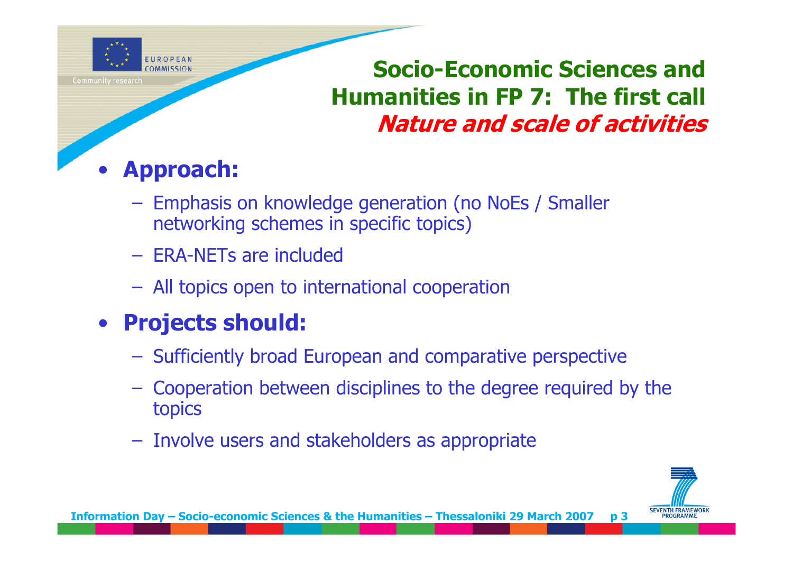

# **Socio-Economic Sciences and Humanities in FP 7: The first call Nature and scale of activities**

### •**Approach:**

- Emphasis on knowledge generation (no NoEs / Smaller networking schemes in specific topics)
- ERA-NETs are included
- All topics open to international cooperation

# • **Projects should:**

- $-$  Sufficiently broad European and comparative perspective
- Cooperation between disciplines to the degree required by the topics
- – $-$  Involve users and stakeholders as appropriate

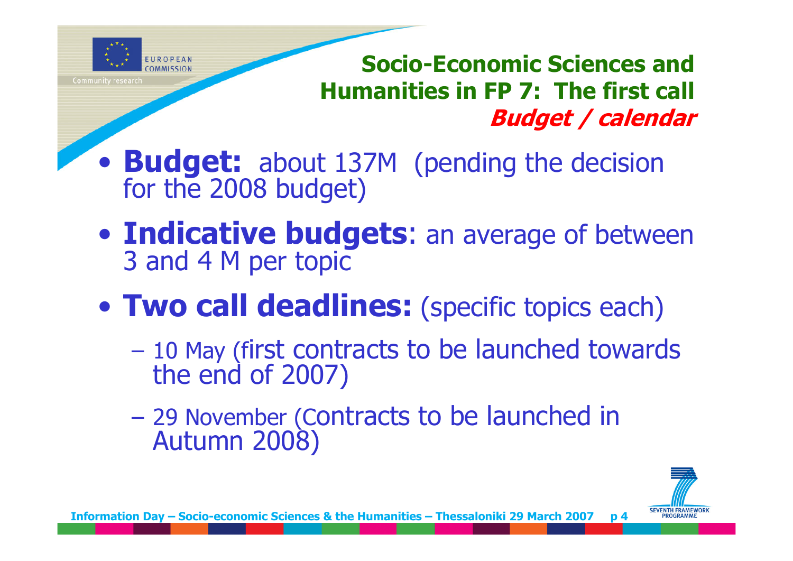

**Socio-Economic Sciences and Humanities in FP 7: The first call Budget / calendar**

- $\bullet$ **Budget:** about 137M (pending the decision for the 2008 budget)
- $\bullet$ **Indicative budgets**: an average of between 3 and 4 M per topic
- $\bullet$  **Two call deadlines:** (specific topics each)
	- 10 May (first contracts to be launched towards the end of 2007)
	- 29 November (Contracts to be launched in Autumn 2008)

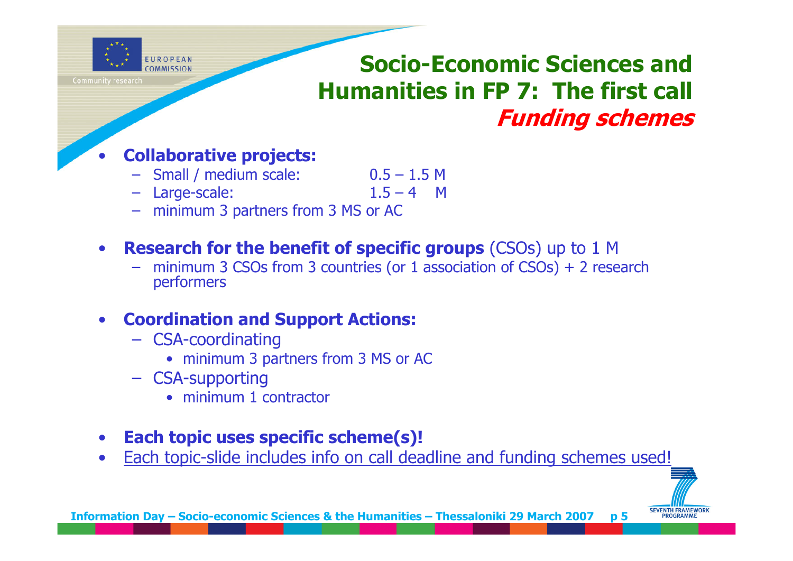

# **Socio-Economic Sciences and Humanities in FP 7: The first call Funding schemes**

#### •**Collaborative projects:**

- Small / medium scale: 0.5 1.5 M
- Large-scale: 1.5 4 M

- minimum 3 partners from 3 MS or AC
- $\bullet$  **Research for the benefit of specific groups** (CSOs) up to 1 M
	- –minimum 3 CSOs from 3 countries (or 1 association of CSOs) + 2 research performers

### •**Coordination and Support Actions:**

- CSA-coordinating
	- minimum 3 partners from 3 MS or AC
- CSA-supporting
	- minimum 1 contractor
- $\bullet$ **Each topic uses specific scheme(s)!**
- •Each topic-slide includes info on call deadline and funding schemes used!

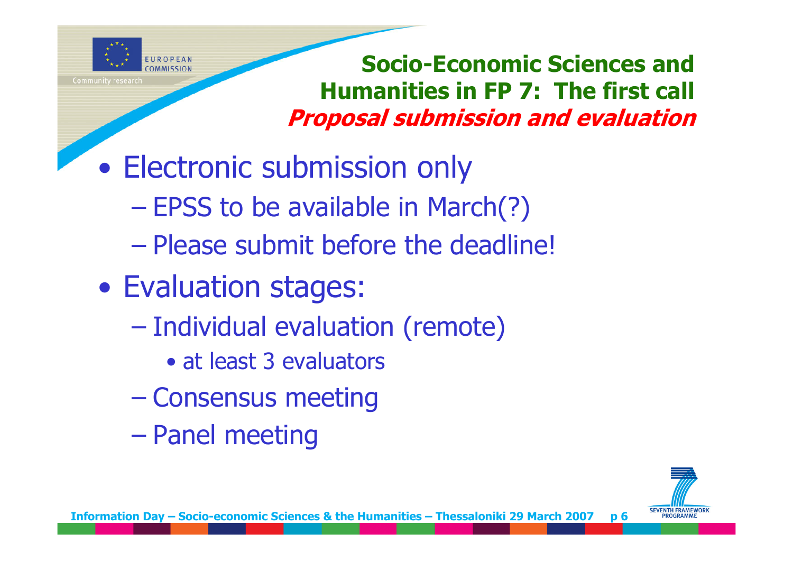

**Socio-Economic Sciences and Humanities in FP 7: The first call Proposal submission and evaluation** 

- $\bullet$  Electronic submission only
	- –– EPSS to be available in March(?)
	- –<br>– Charles Corporation († 1918)<br>1905 Charles Corporation († 1918) Please submit before the deadline!
- $\bullet$  Evaluation stages:
	- –<br>– Charles Corporation († 1918)<br>1905 Charles Corporation († 1918) **- Individual evaluation (remote)** 
		- at least 3 evaluators
	- Consensus meeting
	- –<br>– Charles Corporation († 1918)<br>1905 Charles Corporation († 1918) Panel meeting

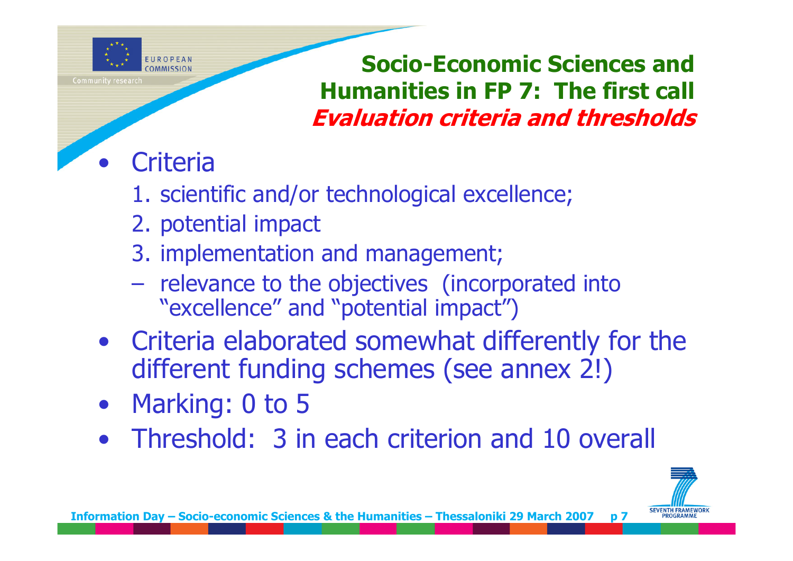

**Socio-Economic Sciences and Humanities in FP 7: The first call Evaluation criteria and thresholds**

## $\bullet$ **Criteria**

- 1. scientific and/or technological excellence;
- 2. potential impact
- 3. implementation and management;
- –- relevance to the objectives (incorporated into "excellence" and "potential impact")
- Criteria elaborated somewhat differently for the different funding schemes (see annex 2!)
- $\bullet$ Marking: 0 to 5
- Threshold: 3 in each criterion and 10 overall

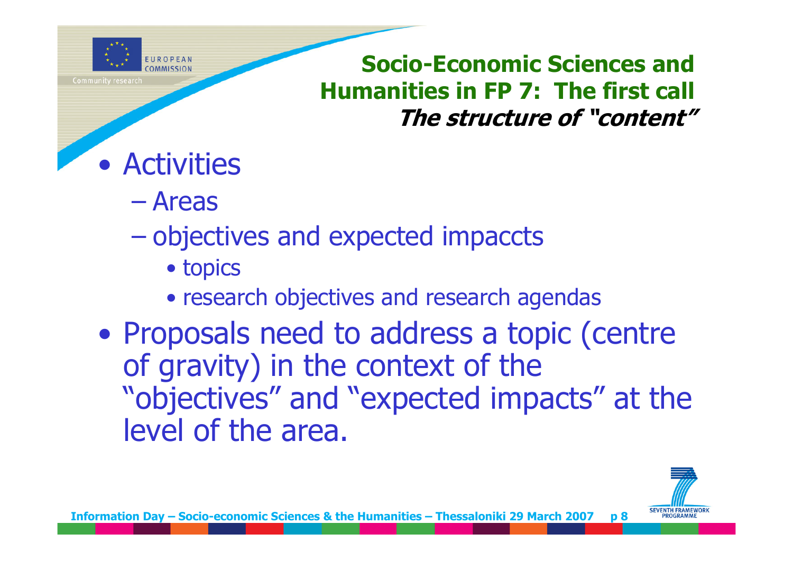

**Socio-Economic Sciences and Humanities in FP 7: The first call The structure of "content"**

# • Activities

–Areas

## –objectives and expected impaccts

- topics
- research objectives and research agendas
- $\bullet$  Proposals need to address a topic (centre of gravity) in the context of the "objectives" and "expected impacts" at the level of the area.

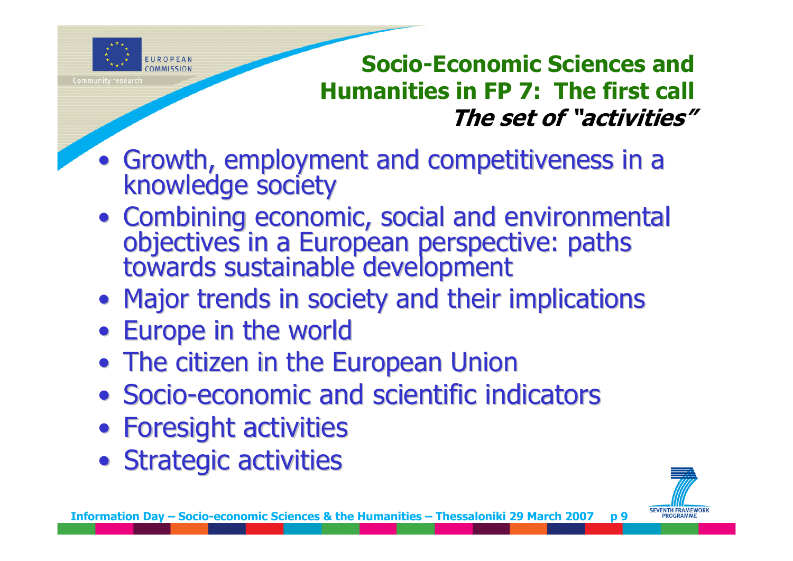

**Socio-Economic Sciences and Humanities in FP 7: The first call The set of "activities"**

- Growth, employment and competitiveness in a knowledge society
- Combining economic, social and environmental objectives in a European perspective: paths<br>towards sustainable development
- Major trends in society and their implications
- Europe in the world
- The citizen in the European Union
- Socio-economic and scientific indicators
- Foresight activities
- Strategic activities

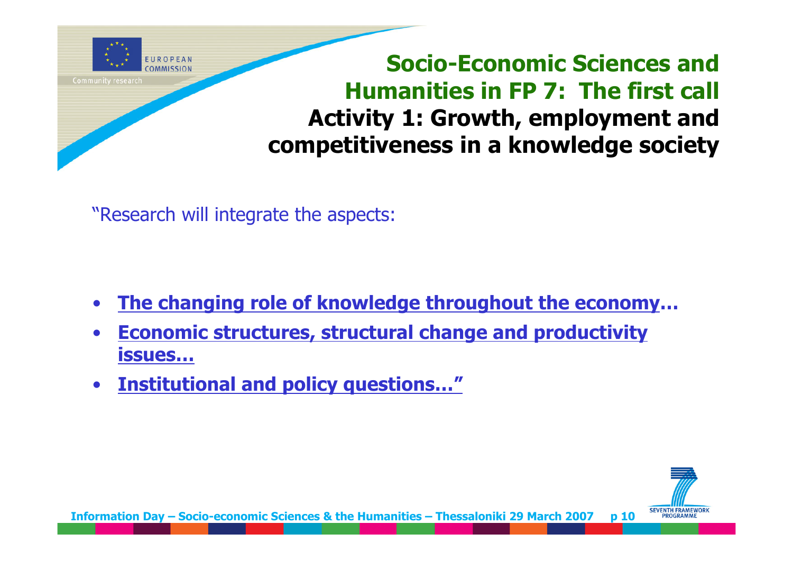

**Socio-Economic Sciences and Humanities in FP 7: The first call Activity 1: Growth, employment and competitiveness in a knowledge society**

"Research will integrate the aspects:

- •**The changing role of knowledge throughout the economy …**
- • **Economic structures, structural change and productivity issues…**
- •**Institutional and policy questions…"**



**Information Day – Socio-economic Sciences & the Humanities – Thessaloniki 29 March 2007 p 10**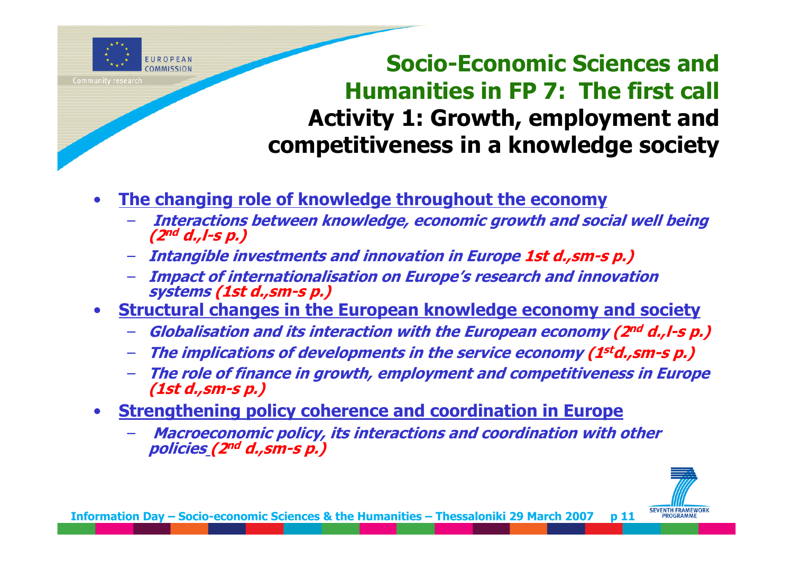

**Socio-Economic Sciences and Humanities in FP 7: The first call Activity 1: Growth, employment and competitiveness in a knowledge society**

- • **The changing role of knowledge throughout the economy**
	- **Interactions between knowledge, economic growth and social well being (2nd d.,l-s p.)**
	- **Intangible investments and innovation in Europe 1st d.,sm-s p.)**
	- **Impact of internationalisation on Europe's research and innovation systems (1st d.,sm-s p.)**
- • **Structural changes in the European knowledge economy and society**
	- **Globalisation and its interaction with the European economy (2nd d.,l-s p.)**
	- –**The implications of developments in the service economy (1std.,sm-s p.)**
	- **The role of finance in growth, employment and competitiveness in Europe (1st d.,sm-s p.)**
- • **Strengthening policy coherence and coordination in Europe**
	- **Macroeconomic policy, its interactions and coordination with other policies (2nd d.,sm-s p.)**

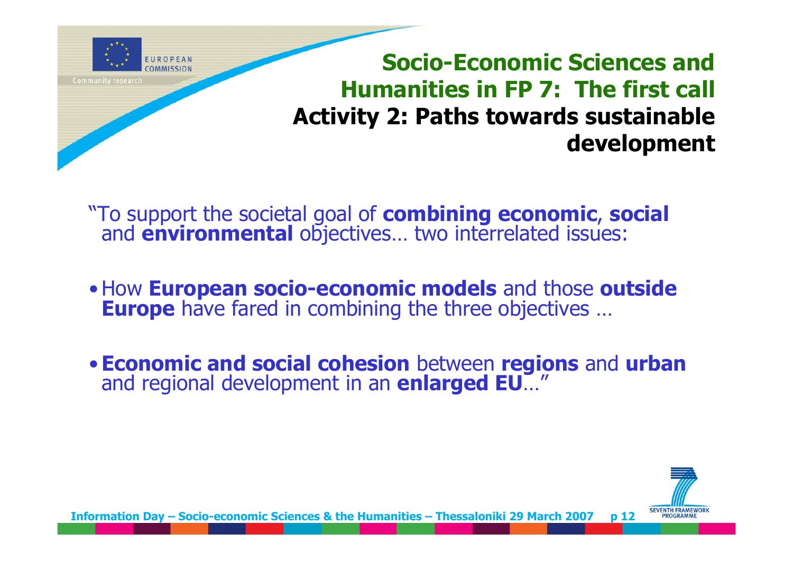

**Socio-Economic Sciences and Humanities in FP 7: The first call Activity 2: Paths towards sustainable development**

"To support the societal goal of **combining economic**, **social** and **environmental** objectives… two interrelated issues:

- •How **European socio-economic models** and those **outside Europe** have fared in combining the three objectives ...
- •**Economic and social cohesion** between **regions** and **urban** and regional development in an **enlarged EU**…"

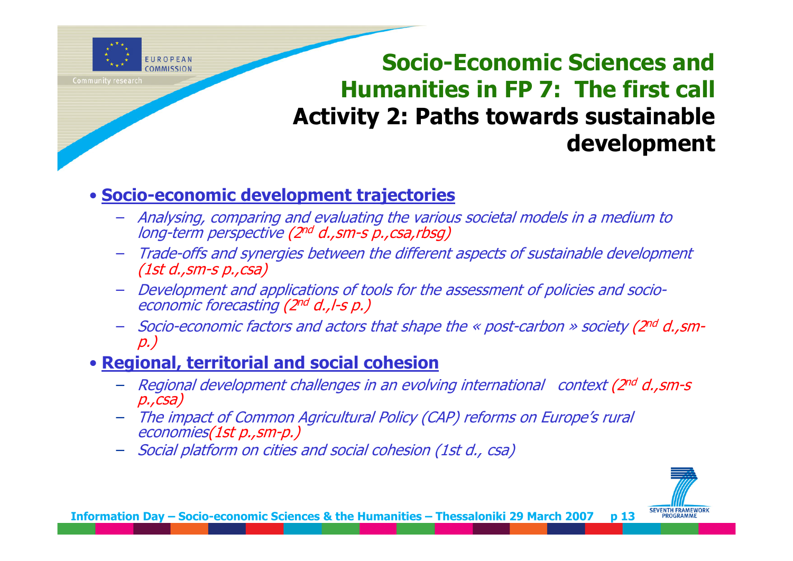

# **Socio-Economic Sciences and Humanities in FP 7: The first call Activity 2: Paths towards sustainable development**

## • **Socio-economic development trajectories**

- Analysing, comparing and evaluating the various societal models in a medium to long-term perspective (2nd d.,sm-s p.,csa,rbsg)
- Trade-offs and synergies between the different aspects of sustainable development (1st d.,sm-s p.,csa)
- Development and applications of tools for the assessment of policies and socioeconomic forecasting (2nd d.,l-s p.)
- Socio-economic factors and actors that shape the « post-carbon » society (2nd d.,smp.)

## • **Regional, territorial and social cohesion**

- Regional development challenges in an evolving international context (2<sup>nd</sup> d., sm-s<br>p., csa)
- The impact of Common Agricultural Policy (CAP) reforms on Europe's rural economies(1st p.,sm-p.)
- Social platform on cities and social cohesion (1st d., csa)

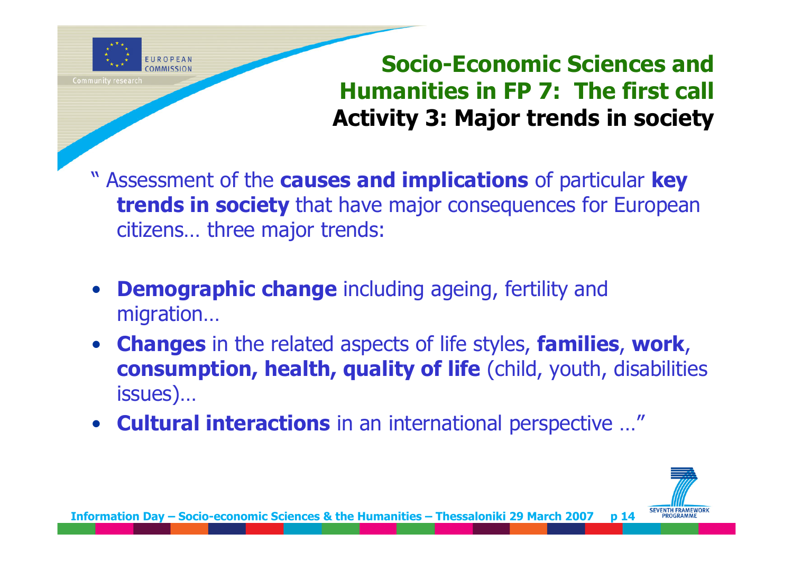

# **Socio-Economic Sciences and Humanities in FP 7: The first call Activity 3: Major trends in society**

- " Assessment of the **causes and implications** of particular **key trends in society** that have major consequences for European citizens… three major trends:
- $\bullet$  **Demographic change** including ageing, fertility and migration…
- • **Changes** in the related aspects of life styles, **families**, **work**, **consumption, health, quality of life** (child, youth, disabilities issues)…
- **Cultural interactions** in an international perspective …"

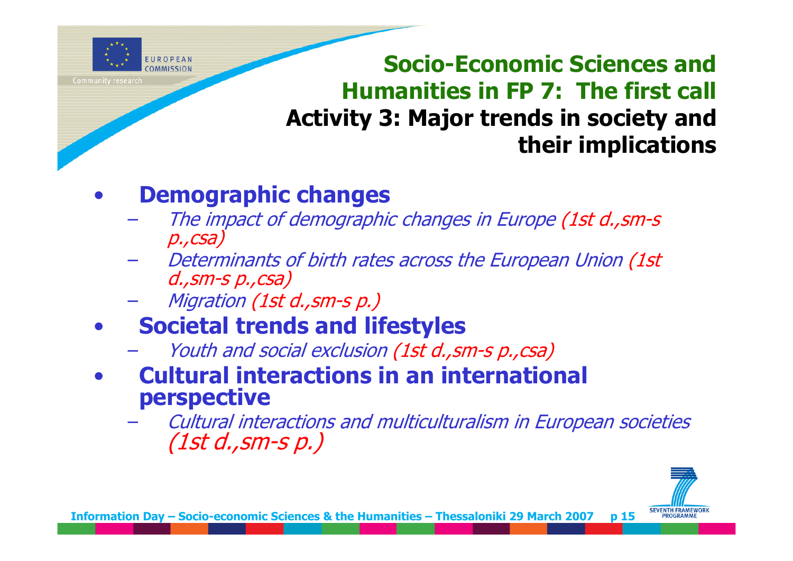

**Socio-Economic Sciences and Humanities in FP 7: The first call Activity 3: Major trends in society and their implications**

## •**Demographic changes**

- The impact of demographic changes in Europe (1st d., sm-s<br>p., csa)
- Determinants of birth rates across the European Union (1st d.,sm-s p.,csa)
- Migration (1st d.,sm-s p.)
- $\bullet$  **Societal trends and lifestyles**
	- Youth and social exclusion (1st d., sm-s p., csa)
- • **Cultural interactions in an international perspective**
	- Cultural interactions and multiculturalism in European societies (1st d.,sm-s p.)

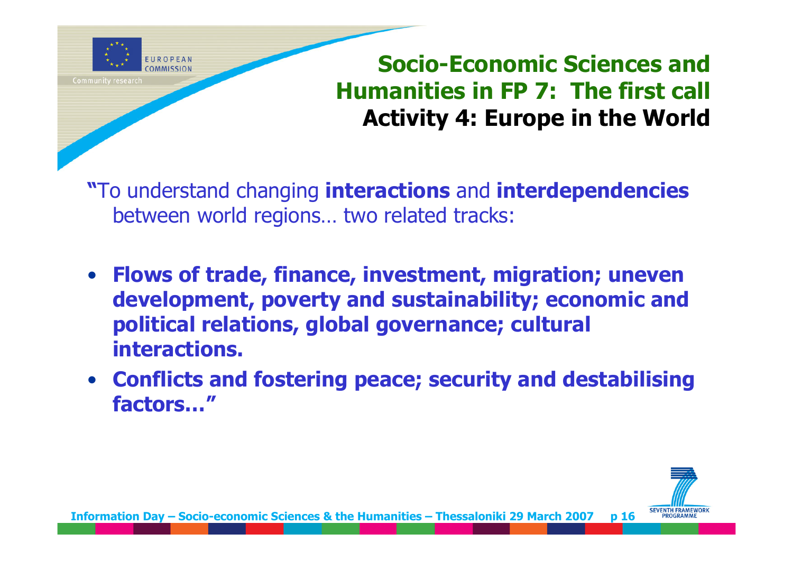

# **Socio-Economic Sciences and Humanities in FP 7: The first call Activity 4: Europe in the World**

**"**To understand changing **interactions** and **interdependencies** between world regions… two related tracks:

- **Flows of trade, finance, investment, migration; uneven development, poverty and sustainability; economic and political relations, global governance; cultural interactions.**
- **Conflicts and fostering peace; security and destabilising factors…"**

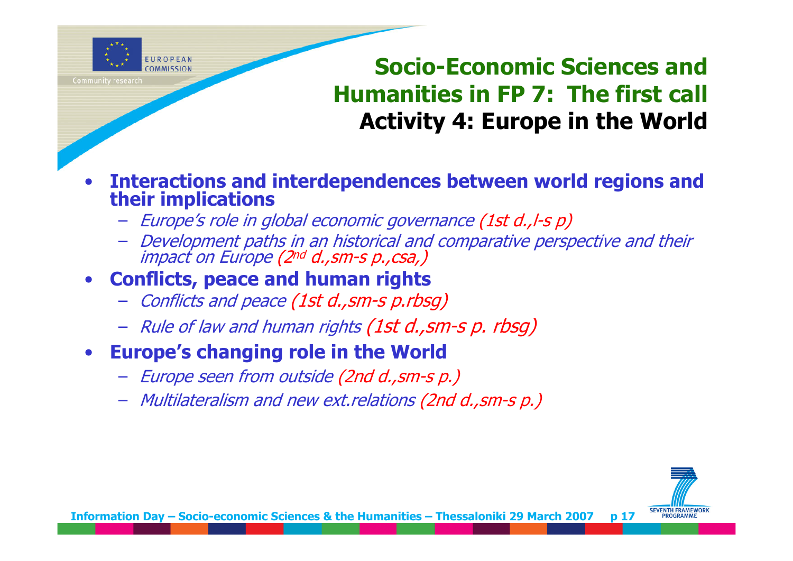

# **Socio-Economic Sciences and Humanities in FP 7: The first call Activity 4: Europe in the World**

- • **Interactions and interdependences between world regions and their implications** 
	- Europe's role in global economic governance (1st d.,l-s p)
	- Development paths in an historical and comparative perspective and their impact on Europe (2nd d.,sm-s p.,csa,)

### •**Conflicts, peace and human rights**

- Conflicts and peace (1st d.,sm-s p.rbsg)
- Rule of law and human rights (1st d.,sm-s p. rbsg)
- • **Europe's changing role in the World**
	- Europe seen from outside (2nd d.,sm-s p.)
	- Multilateralism and new ext.relations (2nd d.,sm-s p.)

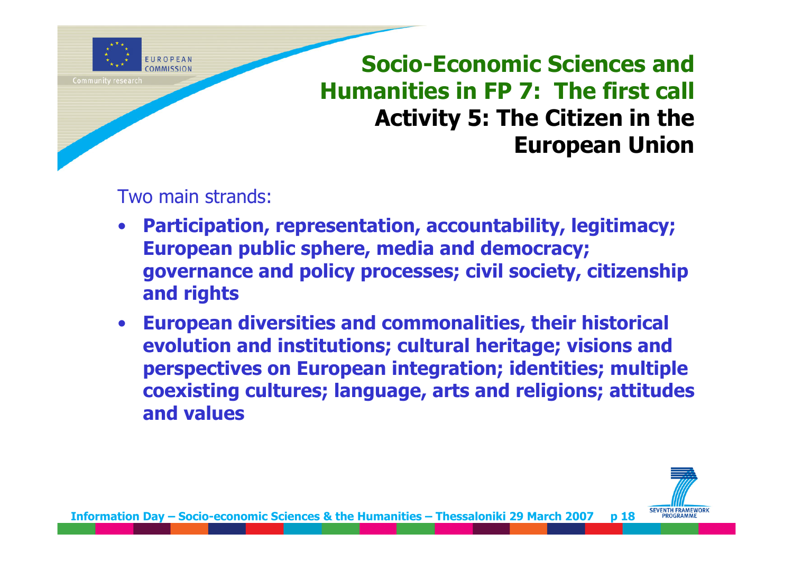

**Socio-Economic Sciences and Humanities in FP 7: The first call Activity 5: The Citizen in the European Union**

Two main strands:

- **Participation, representation, accountability, legitimacy; European public sphere, media and democracy; governance and policy processes; civil society, citizenship and rights**
- $\bullet$  **European diversities and commonalities, their historical evolution and institutions; cultural heritage; visions and perspectives on European integration; identities; multiple coexisting cultures; language, arts and religions; attitudes and values**

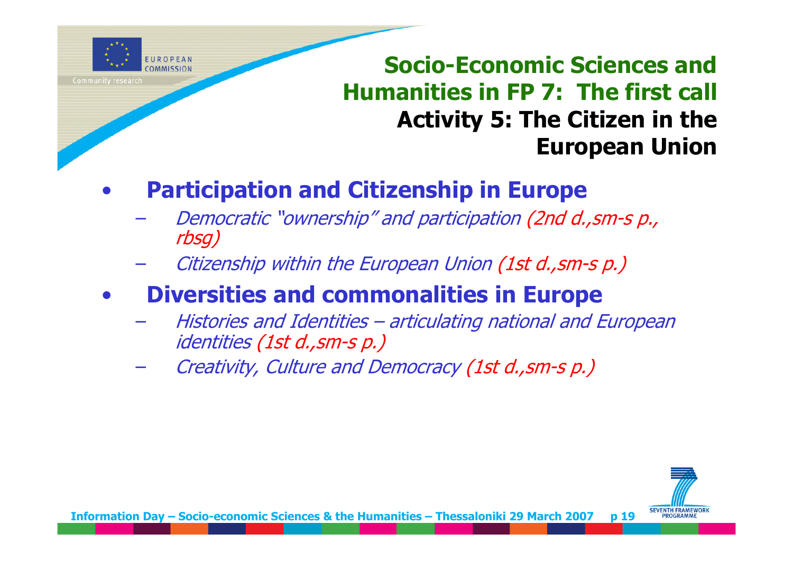

**Socio-Economic Sciences and Humanities in FP 7: The first call Activity 5: The Citizen in the European Union**

### •**Participation and Citizenship in Europe**

- Democratic "ownership" and participation (2nd d.,sm-s p., rbsg)
- Citizenship within the European Union (1st d.,sm-s p.)

## •**Diversities and commonalities in Europe**

- – Histories and Identities – articulating national and European identities (1st d.,sm-s p.)
- –Creativity, Culture and Democracy (1st d.,sm-s p.)

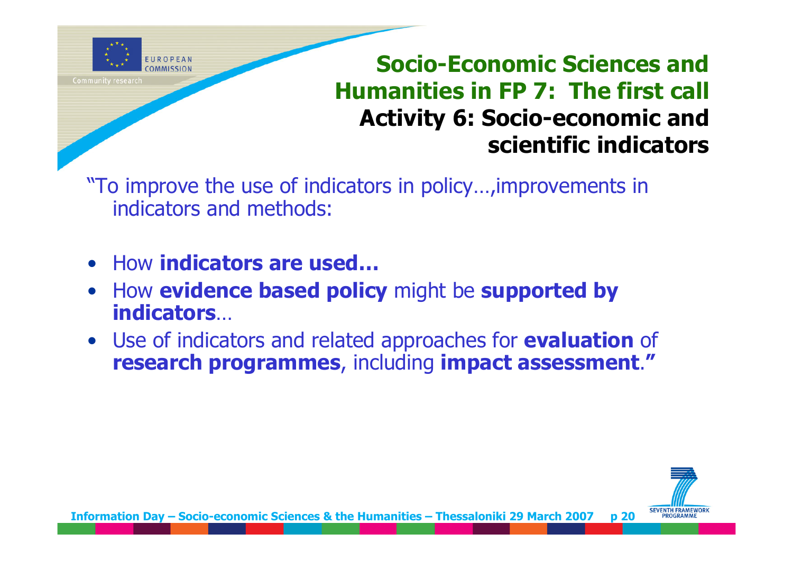

# **Socio-Economic Sciences and Humanities in FP 7: The first call Activity 6: Socio-economic and scientific indicators**

"To improve the use of indicators in policy…,improvements in indicators and methods:

- •How **indicators are used…**
- • How **evidence based policy** might be **supported by indicators**…
- Use of indicators and related approaches for **evaluation** of **research programmes**, including **impact assessment**.**"**

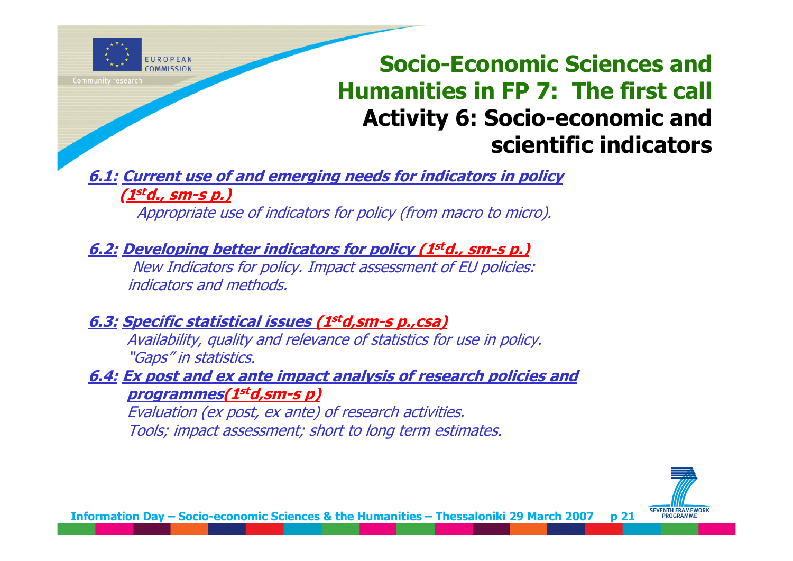

# **Socio-Economic Sciences and Humanities in FP 7: The first call Activity 6: Socio-economic and scientific indicators**

**6.1: Current use of and emerging needs for indicators in policy (1std., sm-s p.)**

Appropriate use of indicators for policy (from macro to micro).

**6.2: Developing better indicators for policy (1std., sm-s p.)**

New Indicators for policy. Impact assessment of EU policies: indicators and methods.

**6.3: Specific statistical issues (1std,sm-s p.,csa)**

Availability, quality and relevance of statistics for use in policy. "Gaps" in statistics.

**6.4: Ex post and ex ante impact analysis of research policies and programmes(1std,sm-s p)** 

Evaluation (ex post, ex ante) of research activities. Tools; impact assessment; short to long term estimates.

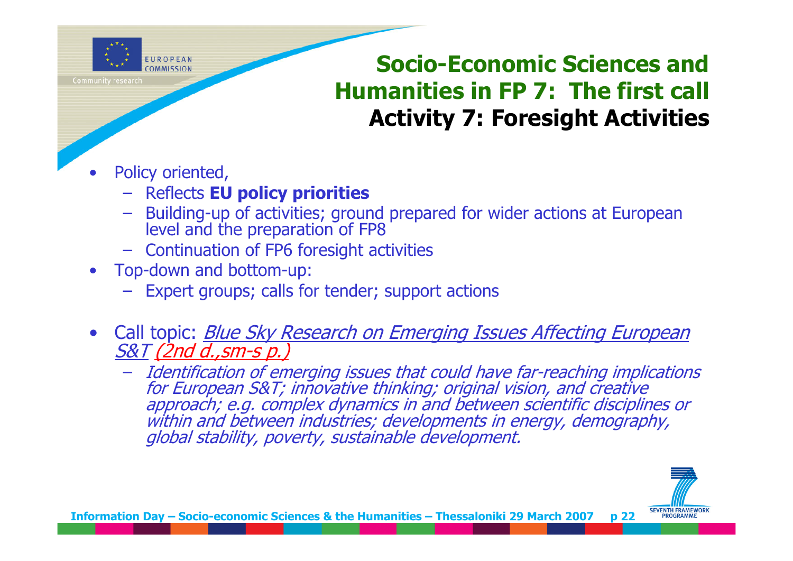

# **Socio-Economic Sciences and Humanities in FP 7: The first call Activity 7: Foresight Activities**

- • Policy oriented,
	- Reflects **EU policy priorities**
	- Building-up of activities; ground prepared for wider actions at European level and the preparation of FP8
	- Continuation of FP6 foresight activities
- • Top-down and bottom-up:
	- Expert groups; calls for tender; support actions
- •Call topic: **Blue Sky Research on Emerging Issues Affecting European** <u>S&T (2nd d.,sm-s p.)</u>
	- Identification of emerging issues that could have far-reaching implications<br>for European S&T; innovative thinking; original vision, and creative<br>approach; e.g. complex dynamics in and between scientific disciplines or<br>wi

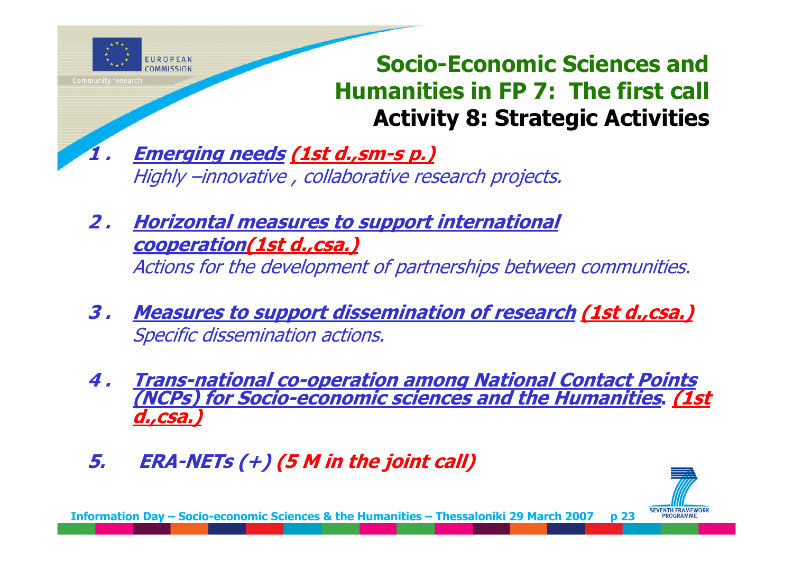

# **Socio-Economic Sciences and Humanities in FP 7: The first call Activity 8: Strategic Activities**

- **1 . Emerging needs (1st d.,sm-s p.)** Highly –innovative , collaborative research projects.
- **2 . Horizontal measures to support international cooperation(1st d.,csa.)** Actions for the development of partnerships between communities.
- **3 . Measures to support dissemination of research (1st d.,csa.)** Specific dissemination actions.
- **4 . Trans-national co-operation among National Contact Points (NCPs) for Socio-economic sciences and the Humanities. (1st d.,csa.)**
- **5.ERA-NETs (+) (5 M in the joint call)**



**Information Day – Socio-economic Sciences & the Humanities – Thessaloniki 29 March 2007 p 23**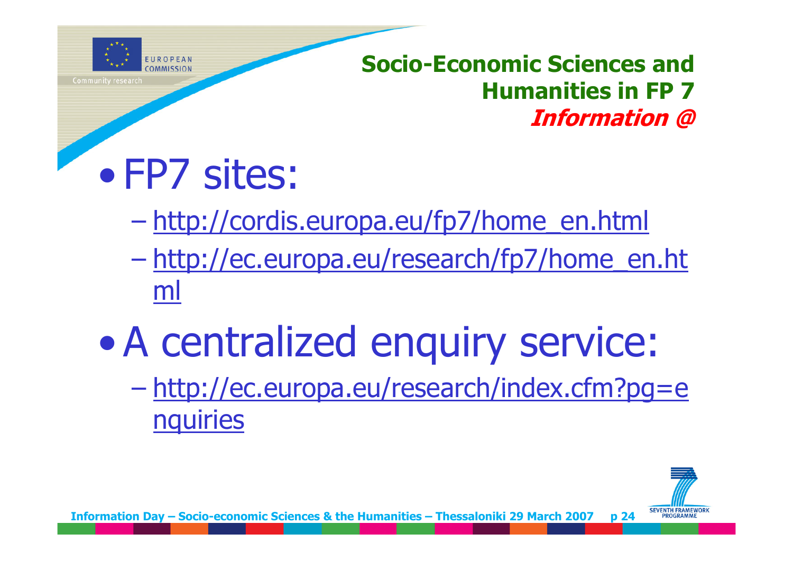

# **Socio-Economic Sciences and Humanities in FP 7Information @**

# • FP7 sites:

- –http://cordis.europa.eu/fp7/home\_en.html
- – http://ec.europa.eu/research/fp7/home\_en.ht ml
- $\bullet$  A centralized enquiry service:
	- –<br>– Charles Corporation († 1918)<br>1905 Charles Corporation († 1918) http://ec.europa.eu/research/index.cfm?pg=e nquiries